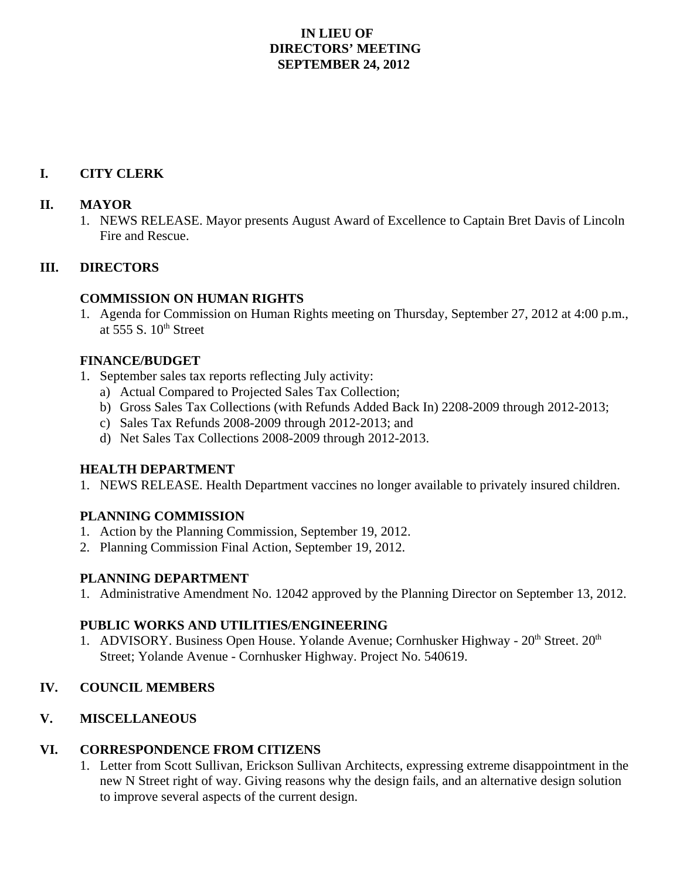## **IN LIEU OF DIRECTORS' MEETING SEPTEMBER 24, 2012**

# **I. CITY CLERK**

#### **II. MAYOR**

1. NEWS RELEASE. Mayor presents August Award of Excellence to Captain Bret Davis of Lincoln Fire and Rescue.

### **III. DIRECTORS**

### **COMMISSION ON HUMAN RIGHTS**

1. Agenda for Commission on Human Rights meeting on Thursday, September 27, 2012 at 4:00 p.m., at  $555 S. 10<sup>th</sup> Street$ 

### **FINANCE/BUDGET**

- 1. September sales tax reports reflecting July activity:
	- a) Actual Compared to Projected Sales Tax Collection;
	- b) Gross Sales Tax Collections (with Refunds Added Back In) 2208-2009 through 2012-2013;
	- c) Sales Tax Refunds 2008-2009 through 2012-2013; and
	- d) Net Sales Tax Collections 2008-2009 through 2012-2013.

### **HEALTH DEPARTMENT**

1. NEWS RELEASE. Health Department vaccines no longer available to privately insured children.

### **PLANNING COMMISSION**

- 1. Action by the Planning Commission, September 19, 2012.
- 2. Planning Commission Final Action, September 19, 2012.

### **PLANNING DEPARTMENT**

1. Administrative Amendment No. 12042 approved by the Planning Director on September 13, 2012.

### **PUBLIC WORKS AND UTILITIES/ENGINEERING**

1. ADVISORY. Business Open House. Yolande Avenue; Cornhusker Highway -  $20<sup>th</sup>$  Street.  $20<sup>th</sup>$ Street; Yolande Avenue - Cornhusker Highway. Project No. 540619.

## **IV. COUNCIL MEMBERS**

### **V. MISCELLANEOUS**

### **VI. CORRESPONDENCE FROM CITIZENS**

1. Letter from Scott Sullivan, Erickson Sullivan Architects, expressing extreme disappointment in the new N Street right of way. Giving reasons why the design fails, and an alternative design solution to improve several aspects of the current design.